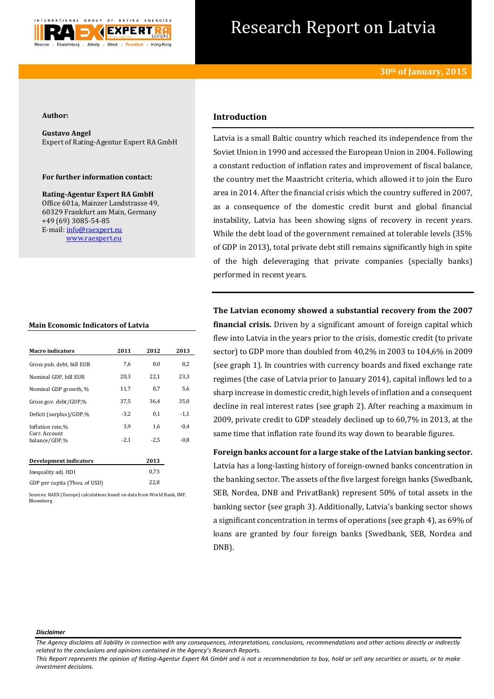

# Research Report on Latvia

#### **Author:**

**Gustavo Angel** Expert of Rating-Agentur Expert RA GmbH

#### **For further information contact:**

**Rating-Agentur Expert RA GmbH** Office 601a, Mainzer Landstrasse 49, 60329 Frankfurt am Main, Germany +49 (69) 3085-54-85 E-mail[: info@raexpert.eu](mailto:info@raexpert.eu) [www.raexpert.eu](http://raexpert.eu/)

#### **Main Economic Indicators of Latvia**

| <b>Macro</b> indicators        | 2011   | 2012   | 2013   |
|--------------------------------|--------|--------|--------|
| Gross pub. debt, bill EUR      | 7,6    | 8,0    | 8,2    |
| Nominal GDP, bill EUR          | 20,3   | 22,1   | 23,3   |
| Nominal GDP growth, %          | 11,7   | 8,7    | 5,6    |
| Gross gov. debt/GDP,%          | 37,5   | 36.4   | 35,0   |
| Deficit (surplus)/GDP.%        | $-3,2$ | 0,1    | $-1,1$ |
| Inflation rate,%               | 3,9    | 1,6    | $-0.4$ |
| Curr. Account<br>balance/GDP,% | $-2,1$ | $-2.5$ | $-0.8$ |
| <b>Development indicators</b>  |        | 2013   |        |
| Inequality adj. HDI            |        | 0.73   |        |

|                                       | inequality auj. HDI | 0.73 |
|---------------------------------------|---------------------|------|
| 22.8<br>GDP per capita (Thou. of USD) |                     |      |

Sources: RAEX (Europe) calculations based on data from World Bank, IMF, Bloomberg

# **Introduction**

Latvia is a small Baltic country which reached its independence from the Soviet Union in 1990 and accessed the European Union in 2004. Following a constant reduction of inflation rates and improvement of fiscal balance, the country met the Maastricht criteria, which allowed it to join the Euro area in 2014. After the financial crisis which the country suffered in 2007, as a consequence of the domestic credit burst and global financial instability, Latvia has been showing signs of recovery in recent years. While the debt load of the government remained at tolerable levels (35% of GDP in 2013), total private debt still remains significantly high in spite of the high deleveraging that private companies (specially banks) performed in recent years.

**The Latvian economy showed a substantial recovery from the 2007 financial crisis.** Driven by a significant amount of foreign capital which flew into Latvia in the years prior to the crisis, domestic credit (to private sector) to GDP more than doubled from 40,2% in 2003 to 104,6% in 2009 (see graph 1). In countries with currency boards and fixed exchange rate regimes (the case of Latvia prior to January 2014), capital inflows led to a sharp increase in domestic credit, high levels of inflation and a consequent decline in real interest rates (see graph 2). After reaching a maximum in 2009, private credit to GDP steadely declined up to 60,7% in 2013, at the same time that inflation rate found its way down to bearable figures.

**Foreign banks account for a large stake of the Latvian banking sector.**  Latvia has a long-lasting history of foreign-owned banks concentration in the banking sector. The assets of the five largest foreign banks (Swedbank, SEB, Nordea, DNB and PrivatBank) represent 50% of total assets in the banking sector (see graph 3). Additionally, Latvia's banking sector shows a significant concentration in terms of operations (see graph 4), as 69% of loans are granted by four foreign banks (Swedbank, SEB, Nordea and DNB).

#### *Disclaimer*

*The Agency disclaims all liability in connection with any consequences, interpretations, conclusions, recommendations and other actions directly or indirectly related to the conclusions and opinions contained in the Agency's Research Reports.*

*This Report represents the opinion of Rating-Agentur Expert RA GmbH and is not a recommendation to buy, hold or sell any securities or assets, or to make investment decisions.*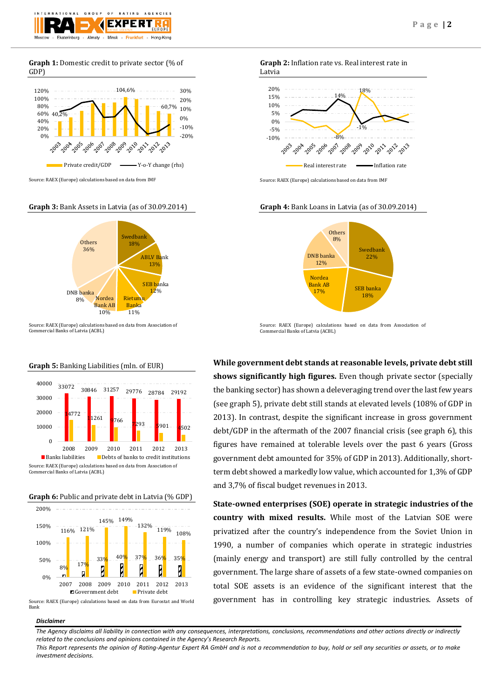

### **Graph 1:** Domestic credit to private sector (% of GDP)



Source: RAEX (Europe) calculations based on data from IMF

#### **Graph 3:** Bank Assets in Latvia (as of 30.09.2014)



Source: RAEX (Europe) calculations based on data from Association of Commercial Banks of Latvia (ACBL)

**Graph 5:** Banking Liabilities (mln. of EUR)



# **Graph 6:** Public and private debt in Latvia (% GDP)





#### **Graph 2:** Inflation rate vs. Real interest rate in Latvia



Source: RAEX (Europe) calculations based on data from IMF

## **Graph 4:** Bank Loans in Latvia (as of 30.09.2014)



Source: RAEX (Europe) calculations based on data from Association of Commercial Banks of Latvia (ACBL)

**While government debt stands at reasonable levels, private debt still shows significantly high figures.** Even though private sector (specially the banking sector) has shown a deleveraging trend over the last few years (see graph 5), private debt still stands at elevated levels (108% of GDP in 2013). In contrast, despite the significant increase in gross government debt/GDP in the aftermath of the 2007 financial crisis (see graph 6), this figures have remained at tolerable levels over the past 6 years (Gross government debt amounted for 35% of GDP in 2013). Additionally, shortterm debt showed a markedly low value, which accounted for 1,3% of GDP and 3,7% of fiscal budget revenues in 2013.

**State-owned enterprises (SOE) operate in strategic industries of the country with mixed results.** While most of the Latvian SOE were privatized after the country's independence from the Soviet Union in 1990, a number of companies which operate in strategic industries (mainly energy and transport) are still fully controlled by the central government. The large share of assets of a few state-owned companies on total SOE assets is an evidence of the significant interest that the government has in controlling key strategic industries. Assets of

#### *Disclaimer*

*The Agency disclaims all liability in connection with any consequences, interpretations, conclusions, recommendations and other actions directly or indirectly related to the conclusions and opinions contained in the Agency's Research Reports.*

*This Report represents the opinion of Rating-Agentur Expert RA GmbH and is not a recommendation to buy, hold or sell any securities or assets, or to make investment decisions.*